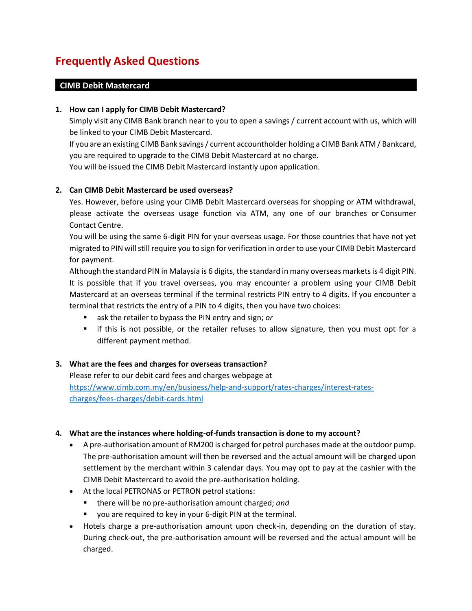# **Frequently Asked Questions**

## **CIMB Debit Mastercard**

#### **1. How can I apply for CIMB Debit Mastercard?**

Simply visit any CIMB Bank branch near to you to open a savings / current account with us, which will be linked to your CIMB Debit Mastercard.

If you are an existing CIMB Bank savings / current accountholder holding a CIMB Bank ATM / Bankcard, you are required to upgrade to the CIMB Debit Mastercard at no charge.

You will be issued the CIMB Debit Mastercard instantly upon application.

#### **2. Can CIMB Debit Mastercard be used overseas?**

Yes. However, before using your CIMB Debit Mastercard overseas for shopping or ATM withdrawal, please activate the overseas usage function via ATM, any one of our branches or Consumer Contact Centre.

You will be using the same 6-digit PIN for your overseas usage. For those countries that have not yet migrated to PIN will still require you to sign for verification in order to use your CIMB Debit Mastercard for payment.

Although the standard PIN in Malaysia is 6 digits, the standard in many overseas markets is 4 digit PIN. It is possible that if you travel overseas, you may encounter a problem using your CIMB Debit Mastercard at an overseas terminal if the terminal restricts PIN entry to 4 digits. If you encounter a terminal that restricts the entry of a PIN to 4 digits, then you have two choices:

- ask the retailer to bypass the PIN entry and sign; *or*
- **F** if this is not possible, or the retailer refuses to allow signature, then you must opt for a different payment method.

#### **3. What are the fees and charges for overseas transaction?**

Please refer to our debit card fees and charges webpage at [https://www.cimb.com.my/en/business/help-and-support/rates-charges/interest-rates](https://www.cimb.com.my/en/business/help-and-support/rates-charges/interest-rates-charges/fees-charges/debit-cards.html)[charges/fees-charges/debit-cards.html](https://www.cimb.com.my/en/business/help-and-support/rates-charges/interest-rates-charges/fees-charges/debit-cards.html)

#### **4. What are the instances where holding-of-funds transaction is done to my account?**

- A pre-authorisation amount of RM200 is charged for petrol purchases made at the outdoor pump. The pre-authorisation amount will then be reversed and the actual amount will be charged upon settlement by the merchant within 3 calendar days. You may opt to pay at the cashier with the CIMB Debit Mastercard to avoid the pre-authorisation holding.
- At the local PETRONAS or PETRON petrol stations:
	- there will be no pre-authorisation amount charged; *and*
	- you are required to key in your 6-digit PIN at the terminal.
- Hotels charge a pre-authorisation amount upon check-in, depending on the duration of stay. During check-out, the pre-authorisation amount will be reversed and the actual amount will be charged.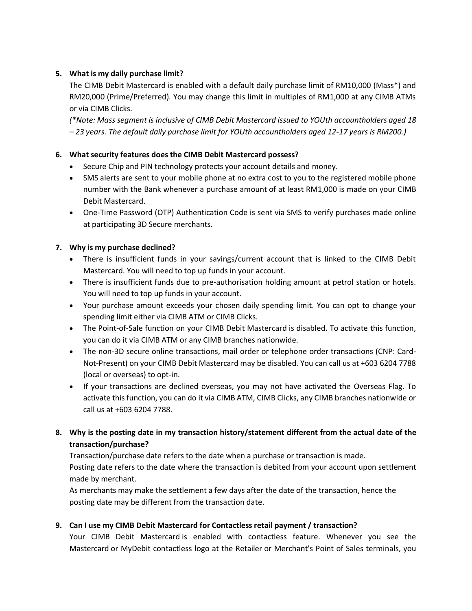## **5. What is my daily purchase limit?**

The CIMB Debit Mastercard is enabled with a default daily purchase limit of RM10,000 (Mass\*) and RM20,000 (Prime/Preferred). You may change this limit in multiples of RM1,000 at any CIMB ATMs or via CIMB Clicks.

*(\*Note: Mass segment is inclusive of CIMB Debit Mastercard issued to YOUth accountholders aged 18 – 23 years. The default daily purchase limit for YOUth accountholders aged 12-17 years is RM200.)*

## **6. What security features does the CIMB Debit Mastercard possess?**

- Secure Chip and PIN technology protects your account details and money.
- SMS alerts are sent to your mobile phone at no extra cost to you to the registered mobile phone number with the Bank whenever a purchase amount of at least RM1,000 is made on your CIMB Debit Mastercard.
- One-Time Password (OTP) Authentication Code is sent via SMS to verify purchases made online at participating 3D Secure merchants.

## **7. Why is my purchase declined?**

- There is insufficient funds in your savings/current account that is linked to the CIMB Debit Mastercard. You will need to top up funds in your account.
- There is insufficient funds due to pre-authorisation holding amount at petrol station or hotels. You will need to top up funds in your account.
- Your purchase amount exceeds your chosen daily spending limit. You can opt to change your spending limit either via CIMB ATM or CIMB Clicks.
- The Point-of-Sale function on your CIMB Debit Mastercard is disabled. To activate this function, you can do it via CIMB ATM or any CIMB branches nationwide.
- The non-3D secure online transactions, mail order or telephone order transactions (CNP: Card-Not-Present) on your CIMB Debit Mastercard may be disabled. You can call us at +603 6204 7788 (local or overseas) to opt-in.
- If your transactions are declined overseas, you may not have activated the Overseas Flag. To activate this function, you can do it via CIMB ATM, CIMB Clicks, any CIMB branches nationwide or call us at +603 6204 7788.

## **8. Why is the posting date in my transaction history/statement different from the actual date of the transaction/purchase?**

Transaction/purchase date refers to the date when a purchase or transaction is made.

Posting date refers to the date where the transaction is debited from your account upon settlement made by merchant.

As merchants may make the settlement a few days after the date of the transaction, hence the posting date may be different from the transaction date.

## **9. Can I use my CIMB Debit Mastercard for Contactless retail payment / transaction?**

Your CIMB Debit Mastercard is enabled with contactless feature. Whenever you see the Mastercard or MyDebit contactless logo at the Retailer or Merchant's Point of Sales terminals, you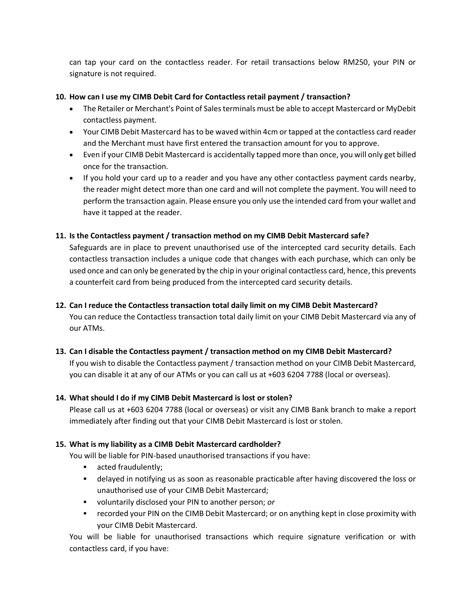can tap your card on the contactless reader. For retail transactions below RM250, your PIN or signature is not required.

#### **10. How can I use my CIMB Debit Card for Contactless retail payment / transaction?**

- The Retailer or Merchant's Point of Sales terminals must be able to accept Mastercard or MyDebit contactless payment.
- Your CIMB Debit Mastercard has to be waved within 4cm or tapped at the contactless card reader and the Merchant must have first entered the transaction amount for you to approve.
- Even if your CIMB Debit Mastercard is accidentally tapped more than once, you will only get billed once for the transaction.
- If you hold your card up to a reader and you have any other contactless payment cards nearby, the reader might detect more than one card and will not complete the payment. You will need to perform the transaction again. Please ensure you only use the intended card from your wallet and have it tapped at the reader.

#### **11. Is the Contactless payment / transaction method on my CIMB Debit Mastercard safe?**

Safeguards are in place to prevent unauthorised use of the intercepted card security details. Each contactless transaction includes a unique code that changes with each purchase, which can only be used once and can only be generated by the chip in your original contactless card, hence, this prevents a counterfeit card from being produced from the intercepted card security details.

#### **12. Can I reduce the Contactless transaction total daily limit on my CIMB Debit Mastercard?**

You can reduce the Contactless transaction total daily limit on your CIMB Debit Mastercard via any of our ATMs.

#### **13. Can I disable the Contactless payment / transaction method on my CIMB Debit Mastercard?**

If you wish to disable the Contactless payment / transaction method on your CIMB Debit Mastercard, you can disable it at any of our ATMs or you can call us at +603 6204 7788 (local or overseas).

#### **14. What should I do if my CIMB Debit Mastercard is lost or stolen?**

Please call us at +603 6204 7788 (local or overseas) or visit any CIMB Bank branch to make a report immediately after finding out that your CIMB Debit Mastercard is lost or stolen.

#### **15. What is my liability as a CIMB Debit Mastercard cardholder?**

You will be liable for PIN-based unauthorised transactions if you have:

- **acted fraudulently;**
- delayed in notifying us as soon as reasonable practicable after having discovered the loss or unauthorised use of your CIMB Debit Mastercard;
- voluntarily disclosed your PIN to another person; *or*
- recorded your PIN on the CIMB Debit Mastercard; or on anything kept in close proximity with your CIMB Debit Mastercard.

You will be liable for unauthorised transactions which require signature verification or with contactless card, if you have: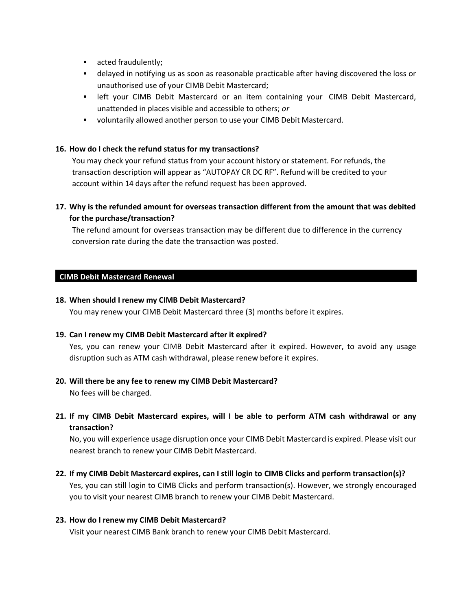- **acted fraudulently;**
- delayed in notifying us as soon as reasonable practicable after having discovered the loss or unauthorised use of your CIMB Debit Mastercard;
- **-** left your CIMB Debit Mastercard or an item containing your CIMB Debit Mastercard, unattended in places visible and accessible to others; *or*
- voluntarily allowed another person to use your CIMB Debit Mastercard.

#### **16. How do I check the refund status for my transactions?**

You may check your refund status from your account history or statement. For refunds, the transaction description will appear as "AUTOPAY CR DC RF". Refund will be credited to your account within 14 days after the refund request has been approved.

## **17. Why is the refunded amount for overseas transaction different from the amount that was debited for the purchase/transaction?**

The refund amount for overseas transaction may be different due to difference in the currency conversion rate during the date the transaction was posted.

#### **CIMB Debit Mastercard Renewal**

#### **18. When should I renew my CIMB Debit Mastercard?**

You may renew your CIMB Debit Mastercard three (3) months before it expires.

#### **19. Can I renew my CIMB Debit Mastercard after it expired?**

Yes, you can renew your CIMB Debit Mastercard after it expired. However, to avoid any usage disruption such as ATM cash withdrawal, please renew before it expires.

#### **20. Will there be any fee to renew my CIMB Debit Mastercard?**

No fees will be charged.

# **21. If my CIMB Debit Mastercard expires, will I be able to perform ATM cash withdrawal or any transaction?**

No, you will experience usage disruption once your CIMB Debit Mastercard is expired. Please visit our nearest branch to renew your CIMB Debit Mastercard.

**22. If my CIMB Debit Mastercard expires, can I still login to CIMB Clicks and perform transaction(s)?** Yes, you can still login to CIMB Clicks and perform transaction(s). However, we strongly encouraged you to visit your nearest CIMB branch to renew your CIMB Debit Mastercard.

#### **23. How do I renew my CIMB Debit Mastercard?**

Visit your nearest CIMB Bank branch to renew your CIMB Debit Mastercard.